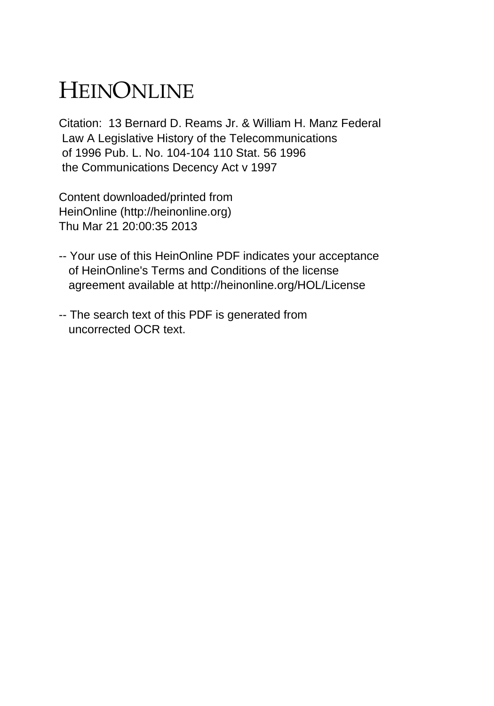## HEINONLINE

Citation: 13 Bernard D. Reams Jr. & William H. Manz Federal Law A Legislative History of the Telecommunications of 1996 Pub. L. No. 104-104 110 Stat. 56 1996 the Communications Decency Act v 1997

Content downloaded/printed from HeinOnline (http://heinonline.org) Thu Mar 21 20:00:35 2013

- -- Your use of this HeinOnline PDF indicates your acceptance of HeinOnline's Terms and Conditions of the license agreement available at http://heinonline.org/HOL/License
- -- The search text of this PDF is generated from uncorrected OCR text.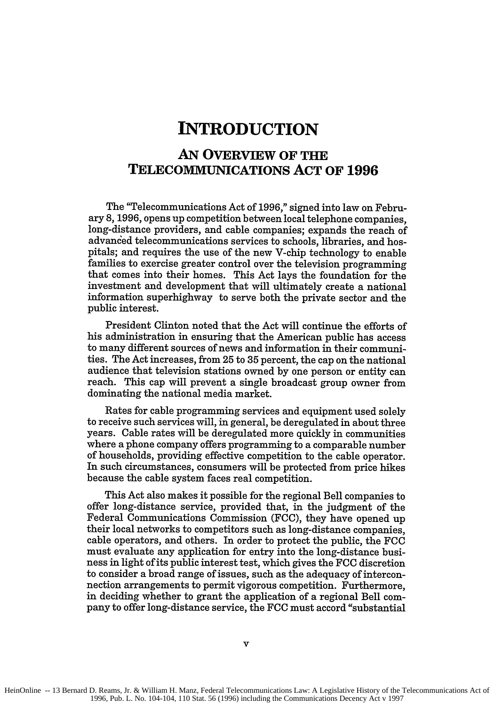## **INTRODUCTION**

## **AN OVERVIEW OF TIRE TELECOMMUNICATIONS ACT OF 1996**

The "Telecommunications Act of **1996,"** signed into law on February **8, 1996,** opens up competition between local telephone companies, long-distance providers, and cable companies; expands the reach of advanced telecommunications services to schools, libraries, and hospitals; and requires the use of the new V-chip technology to enable families to exercise greater control over the television programming that comes into their homes. This Act lays the foundation for the investment and development that will ultimately create a national information superhighway to serve both the private sector and the public interest.

President Clinton noted that the Act will continue the efforts of his administration in ensuring that the American public has access to many different sources of news and information in their communities. The Act increases, from **25** to **35** percent, the cap on the national audience that television stations owned **by** one person or entity can reach. This cap will prevent a single broadcast group owner from dominating the national media market.

Rates for cable programming services and equipment used solely to receive such services will, in general, be deregulated in about three years. Cable rates will be deregulated more quickly in communities where a phone company offers programming to a comparable number of households, providing effective competition to the cable operator. In such circumstances, consumers will be protected from price hikes because the cable system faces real competition.

This Act also makes it possible for the regional Bell companies to offer long-distance service, provided that, in the judgment of the Federal Communications Commission **(FCC),** they have opened up their local networks to competitors such as long-distance companies, cable operators, and others. In order to protect the public, the **FCC** must evaluate any application for entry into the long-distance business in light of its public interest test, which gives the **FCC** discretion to consider a broad range of issues, such as the adequacy of interconnection arrangements to permit vigorous competition. Furthermore, in deciding whether to grant the application of a regional Bell company to offer long-distance service, the **FCC** must accord "substantial